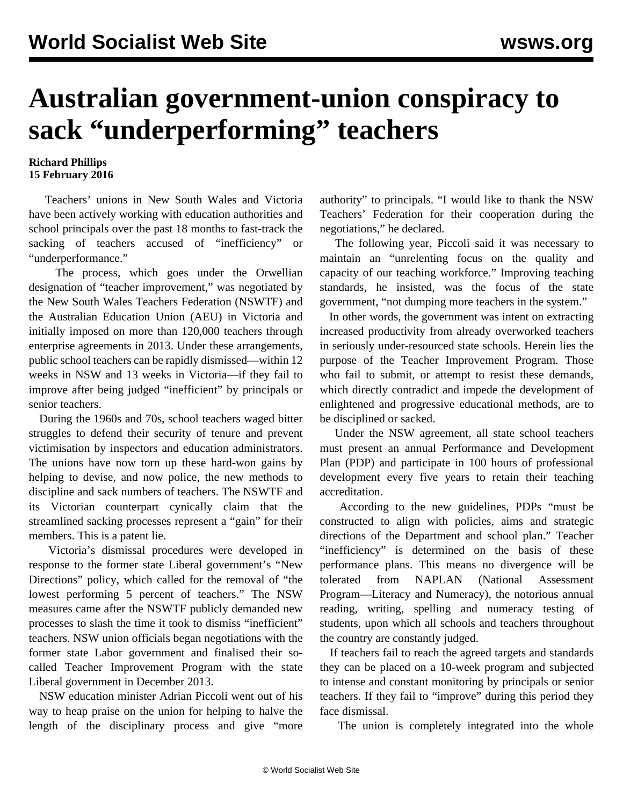## **Australian government-union conspiracy to sack "underperforming" teachers**

## **Richard Phillips 15 February 2016**

 Teachers' unions in New South Wales and Victoria have been actively working with education authorities and school principals over the past 18 months to fast-track the sacking of teachers accused of "inefficiency" or "underperformance."

 The process, which goes under the Orwellian designation of "teacher improvement," was negotiated by the New South Wales Teachers Federation (NSWTF) and the Australian Education Union (AEU) in Victoria and initially imposed on more than 120,000 teachers through enterprise agreements in 2013. Under these arrangements, public school teachers can be rapidly dismissed—within 12 weeks in NSW and 13 weeks in Victoria—if they fail to improve after being judged "inefficient" by principals or senior teachers.

 During the 1960s and 70s, school teachers waged bitter struggles to defend their security of tenure and prevent victimisation by inspectors and education administrators. The unions have now torn up these hard-won gains by helping to devise, and now police, the new methods to discipline and sack numbers of teachers. The NSWTF and its Victorian counterpart cynically claim that the streamlined sacking processes represent a "gain" for their members. This is a patent lie.

 Victoria's dismissal procedures were developed in response to the former state Liberal government's "New Directions" policy, which [called](/en/articles/2013/10/29/educ-o29.html) for the removal of "the lowest performing 5 percent of teachers." The NSW measures came after the NSWTF [publicly demanded](/en/articles/2009/08/teac-a24.html) new processes to slash the time it took to dismiss "inefficient" teachers. NSW union officials began negotiations with the former state Labor government and finalised their socalled Teacher Improvement Program with the state Liberal government in December 2013.

 NSW education minister Adrian Piccoli went out of his way to heap praise on the union for helping to halve the length of the disciplinary process and give "more authority" to principals. "I would like to thank the NSW Teachers' Federation for their cooperation during the negotiations," he declared.

 The following year, Piccoli said it was necessary to maintain an "unrelenting focus on the quality and capacity of our teaching workforce." Improving teaching standards, he insisted, was the focus of the state government, "not dumping more teachers in the system."

 In other words, the government was intent on extracting increased productivity from already overworked teachers in seriously under-resourced state schools. Herein lies the purpose of the Teacher Improvement Program. Those who fail to submit, or attempt to resist these demands, which directly contradict and impede the development of enlightened and progressive educational methods, are to be disciplined or sacked.

 Under the NSW agreement, all state school teachers must present an annual Performance and Development Plan (PDP) and participate in 100 hours of professional development every five years to retain their teaching accreditation.

 According to the new guidelines, PDPs "must be constructed to align with policies, aims and strategic directions of the Department and school plan." Teacher "inefficiency" is determined on the basis of these performance plans. This means no divergence will be tolerated from NAPLAN (National Assessment Program—Literacy and Numeracy), the notorious annual reading, writing, spelling and numeracy testing of students, upon which all schools and teachers throughout the country are constantly judged.

 If teachers fail to reach the agreed targets and standards they can be placed on a 10-week program and subjected to intense and constant monitoring by principals or senior teachers. If they fail to "improve" during this period they face dismissal.

The union is completely integrated into the whole